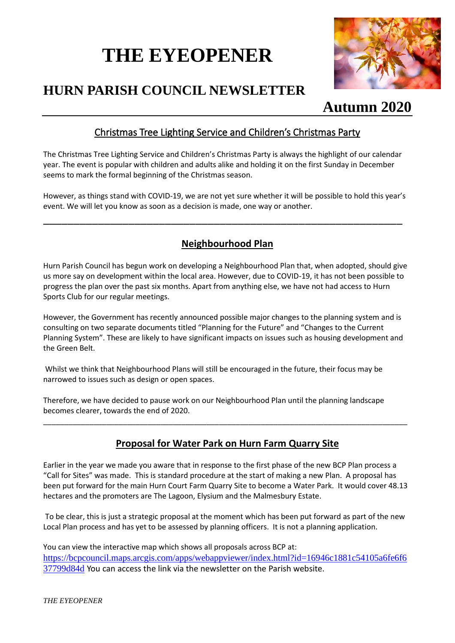# **THE EYEOPENER**



# **HURN PARISH COUNCIL NEWSLETTER**

# **Autumn 2020**

# Christmas Tree Lighting Service and Children's Christmas Party

The Christmas Tree Lighting Service and Children's Christmas Party is always the highlight of our calendar year. The event is popular with children and adults alike and holding it on the first Sunday in December seems to mark the formal beginning of the Christmas season.

However, as things stand with COVID-19, we are not yet sure whether it will be possible to hold this year's event. We will let you know as soon as a decision is made, one way or another.

\_\_\_\_\_\_\_\_\_\_\_\_\_\_\_\_\_\_\_\_\_\_\_\_\_\_\_\_\_\_\_\_\_\_\_\_\_\_\_\_\_\_\_\_\_\_\_\_\_\_\_\_\_\_\_\_\_\_\_

# **Neighbourhood Plan**

Hurn Parish Council has begun work on developing a Neighbourhood Plan that, when adopted, should give us more say on development within the local area. However, due to COVID-19, it has not been possible to progress the plan over the past six months. Apart from anything else, we have not had access to Hurn Sports Club for our regular meetings.

However, the Government has recently announced possible major changes to the planning system and is consulting on two separate documents titled "Planning for the Future" and "Changes to the Current Planning System". These are likely to have significant impacts on issues such as housing development and the Green Belt.

Whilst we think that Neighbourhood Plans will still be encouraged in the future, their focus may be narrowed to issues such as design or open spaces.

Therefore, we have decided to pause work on our Neighbourhood Plan until the planning landscape becomes clearer, towards the end of 2020.

## **Proposal for Water Park on Hurn Farm Quarry Site**

\_\_\_\_\_\_\_\_\_\_\_\_\_\_\_\_\_\_\_\_\_\_\_\_\_\_\_\_\_\_\_\_\_\_\_\_\_\_\_\_\_\_\_\_\_\_\_\_\_\_\_\_\_\_\_\_\_\_\_\_\_\_\_\_\_\_\_\_\_\_\_\_\_\_\_\_\_\_\_\_\_\_\_\_\_\_\_

Earlier in the year we made you aware that in response to the first phase of the new BCP Plan process a "Call for Sites" was made. This is standard procedure at the start of making a new Plan. A proposal has been put forward for the main Hurn Court Farm Quarry Site to become a Water Park. It would cover 48.13 hectares and the promoters are The Lagoon, Elysium and the Malmesbury Estate.

To be clear, this is just a strategic proposal at the moment which has been put forward as part of the new Local Plan process and has yet to be assessed by planning officers. It is not a planning application.

You can view the interactive map which shows all proposals across BCP at: [https://bcpcouncil.maps.arcgis.com/apps/webappviewer/index.html?id=16946c1881c54105a6fe6f6](https://bcpcouncil.maps.arcgis.com/apps/webappviewer/index.html?id=16946c1881c54105a6fe6f637799d84d) [37799d84d](https://bcpcouncil.maps.arcgis.com/apps/webappviewer/index.html?id=16946c1881c54105a6fe6f637799d84d) You can access the link via the newsletter on the Parish website.